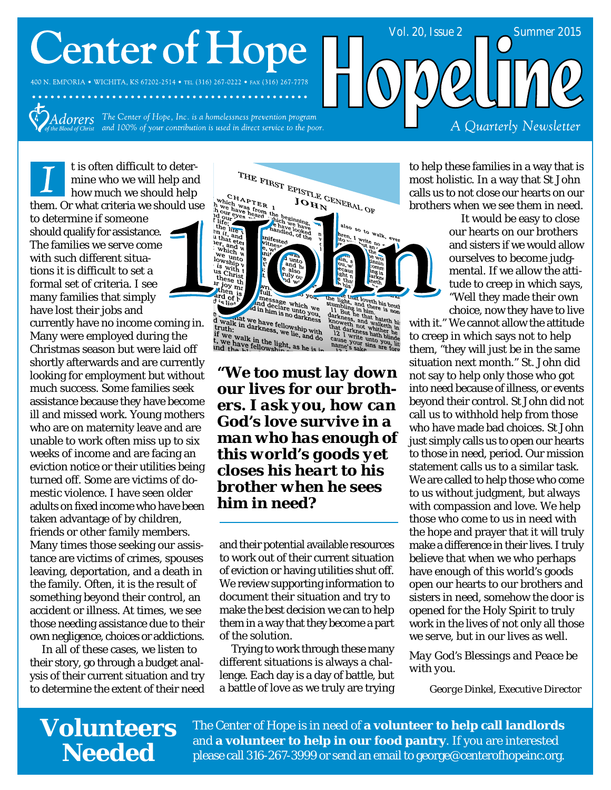# **Center of Hope**

400 N. EMPORIA . WICHITA, KS 67202-2514 . TEL (316) 267-0222 . FAX (316) 267-7778

Adorers The Center of Hope, Inc. is a homelessness prevention program<br>he Blood of Christ and 100% of your contribution is used in direct service to the poor.

t is often difficult to determine who we will help and how much we should help them. Or what criteria we should use

to determine if someone should qualify for assistance. The families we serve come with such different situations it is difficult to set a formal set of criteria. I see many families that simply have lost their jobs and

currently have no income coming in. Many were employed during the Christmas season but were laid off shortly afterwards and are currently looking for employment but without much success. Some families seek assistance because they have become ill and missed work. Young mothers who are on maternity leave and are unable to work often miss up to six weeks of income and are facing an eviction notice or their utilities being turned off. Some are victims of domestic violence. I have seen older adults on fixed income who have been taken advantage of by children, friends or other family members. Many times those seeking our assistance are victims of crimes, spouses leaving, deportation, and a death in the family. Often, it is the result of something beyond their control, an accident or illness. At times, we see those needing assistance due to their own negligence, choices or addictions.

In all of these cases, we listen to their story, go through a budget analysis of their current situation and try to determine the extent of their need



Inessage which we<br>and declare unto you,<br>in him is no darkness d walk the have full darkness<br>truth: in darkness, we lie, and do<br>if we walk in the light, and do<br>t, we have fellowship, as he is in<br>ind the Li fellowship, as he is in

out he that<br>ress, and way<br>veth not white<br>darkness hat

*"We too must lay down our lives for our brothers. I ask you, how can God's love survive in a man who has enough of this world's goods yet closes his heart to his brother when he sees him in need?*

and their potential available resources to work out of their current situation of eviction or having utilities shut off. We review supporting information to document their situation and try to make the best decision we can to help them in a way that they become a part of the solution.

Trying to work through these many different situations is always a challenge. Each day is a day of battle, but a battle of love as we truly are trying to help these families in a way that is most holistic. In a way that St John calls us to not close our hearts on our brothers when we see them in need.

Vol. 20, Issue 2 Summer 2015

It would be easy to close our hearts on our brothers and sisters if we would allow ourselves to become judgmental. If we allow the attitude to creep in which says, "Well they made their own

A Quarterly Newsletter

choice, now they have to live with it." We cannot allow the attitude to creep in which says not to help them, "they will just be in the same situation next month." St. John did not say to help only those who got into need because of illness, or events beyond their control. St John did not call us to withhold help from those who have made bad choices. St John just simply calls us to open our hearts to those in need, period. Our mission statement calls us to a similar task. We are called to help those who come to us without judgment, but always with compassion and love. We help those who come to us in need with the hope and prayer that it will truly make a difference in their lives. I truly believe that when we who perhaps have enough of this world's goods open our hearts to our brothers and sisters in need, somehow the door is opened for the Holy Spirit to truly work in the lives of not only all those we serve, but in our lives as well.

*May God's Blessings and Peace be with you.*

*George Dinkel, Executive Director*

### **Volunteers Needed**

The Center of Hope is in need of **a volunteer to help call landlords** and **a volunteer to help in our food pantry**. If you are interested please call 316-267-3999 or send an email to george@centerofhopeinc.org.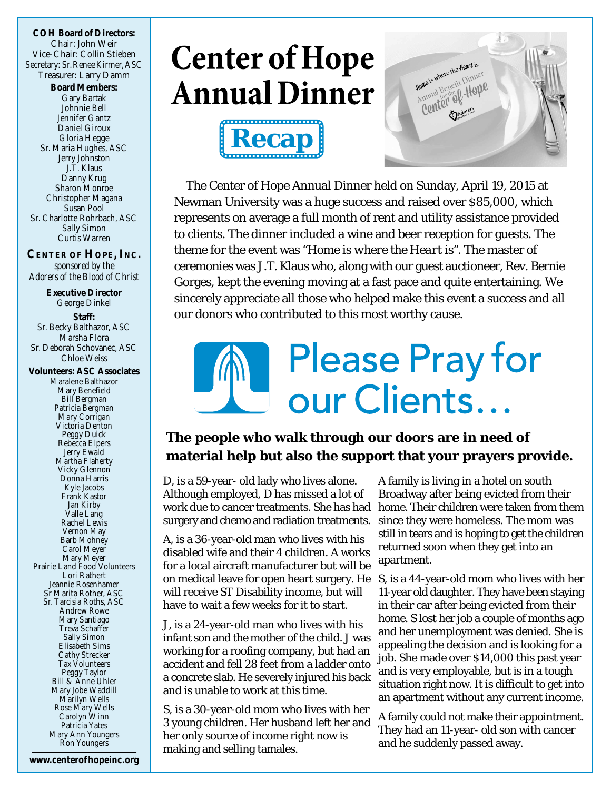**COH Board of Directors:** Chair: John Weir Vice-Chair: Collin Stieben Secretary: Sr.Renee Kirmer, ASC Treasurer: Larry Damm **Board Members:** Gary Bartak Johnnie Bell Jennifer Gantz Daniel Giroux Gloria Hegge Sr. Maria Hughes, ASC Jerry Johnston J.T. Klaus Danny Krug Sharon Monroe Christopher Magana Susan Pool Sr. Charlotte Rohrbach, ASC Sally Simon Curtis Warren

**CENTER OF HOPE, INC.** *sponsored by the Adorers of the Blood of Christ*

**Executive Director** George Dinkel **Staff:** Sr. Becky Balthazor, ASC Marsha Flora Sr. Deborah Schovanec, ASC Chloe Weiss **Volunteers: ASC Associates** Maralene Balthazor Mary Benefield Bill Bergman Patricia Bergman Mary Corrigan Victoria Denton Peggy Duick Rebecca Elpers Jerry Ewald Martha Flaherty Vicky Glennon Donna Harris Kyle Jacobs Frank Kastor Jan Kirby Valle Lang Rachel Lewis Vernon May Barb Mohney Carol Meyer Mary Meyer Prairie Land Food Volunteers Lori Rathert Jeannie Rosenhamer Sr Marita Rother, ASC Sr. Tarcisia Roths, ASC Andrew Rowe Mary Santiago Treva Schaffer Sally Simon Elisabeth Sims Cathy Strecker Tax Volunteers Peggy Taylor Bill & Anne Uhler Mary Jobe Waddill Marilyn Wells

Rose Mary Wells Carolyn Winn Patricia Yates Mary Ann Youngers Ron Youngers

## **Center of Hope Annual Dinner**





The Center of Hope Annual Dinner held on Sunday, April 19, 2015 at Newman University was a huge success and raised over \$85,000, which represents on average a full month of rent and utility assistance provided to clients. The dinner included a wine and beer reception for guests. The theme for the event was *"Home is where the Heart is".* The master of ceremonies was J.T. Klaus who, along with our guest auctioneer, Rev. Bernie Gorges, kept the evening moving at a fast pace and quite entertaining. We sincerely appreciate all those who helped make this event a success and all our donors who contributed to this most worthy cause.

# **Please Pray for** our Clients...

**The people who walk through our doors are in need of material help but also the support that your prayers provide.**

D, is a 59-year- old lady who lives alone. Although employed, D has missed a lot of work due to cancer treatments. She has had surgery and chemo and radiation treatments.

A, is a 36-year-old man who lives with his disabled wife and their 4 children. A works for a local aircraft manufacturer but will be on medical leave for open heart surgery. He S, is a 44-year-old mom who lives with her will receive ST Disability income, but will have to wait a few weeks for it to start.

J, is a 24-year-old man who lives with his infant son and the mother of the child. J was working for a roofing company, but had an accident and fell 28 feet from a ladder onto a concrete slab. He severely injured his back and is unable to work at this time.

S, is a 30-year-old mom who lives with her 3 young children. Her husband left her and her only source of income right now is making and selling tamales.

A family is living in a hotel on south Broadway after being evicted from their home. Their children were taken from them since they were homeless. The mom was still in tears and is hoping to get the children returned soon when they get into an apartment.

11-year old daughter. They have been staying in their car after being evicted from their home. S lost her job a couple of months ago and her unemployment was denied. She is appealing the decision and is looking for a job. She made over \$14,000 this past year and is very employable, but is in a tough situation right now. It is difficult to get into an apartment without any current income.

A family could not make their appointment. They had an 11-year- old son with cancer and he suddenly passed away.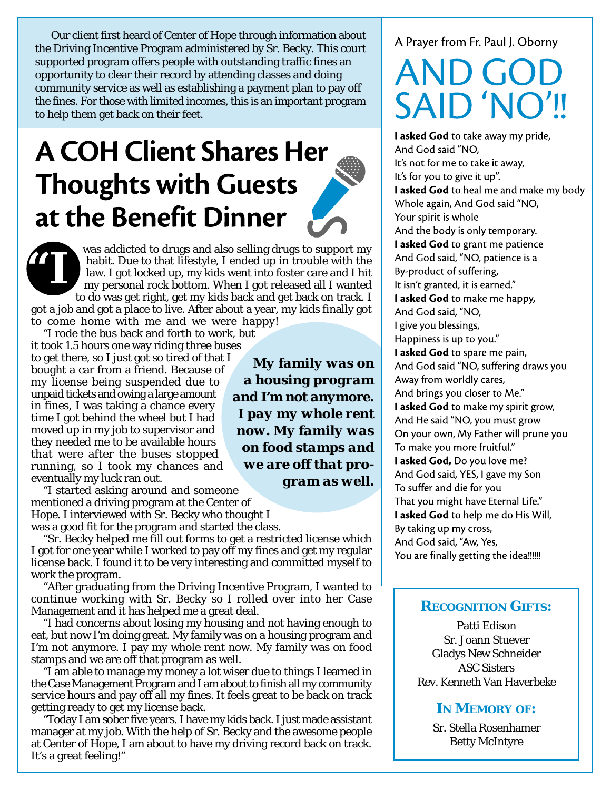Our client first heard of Center of Hope through information about the Driving Incentive Program administered by Sr. Becky. This court supported program offers people with outstanding traffic fines an opportunity to clear their record by attending classes and doing community service as well as establishing a payment plan to pay off the fines. For those with limited incomes, this is an important program to help them get back on their feet.

## **A COH Client Shares Her Thoughts with Guests** at the Benefit Dinner



was addicted to drugs and also selling drugs to support my habit. Due to that lifestyle, I ended up in trouble with the law. I got locked up, my kids went into foster care and I hit my personal rock bottom. When I got released all I wanted to do was get right, get my kids back and get back on track. I

got a job and got a place to live. After about a year, my kids finally got to come home with me and we were happy!

"I rode the bus back and forth to work, but it took 1.5 hours one way riding three buses to get there, so I just got so tired of that I bought a car from a friend. Because of my license being suspended due to unpaid tickets and owing a large amount in fines, I was taking a chance every time I got behind the wheel but I had moved up in my job to supervisor and they needed me to be available hours that were after the buses stopped running, so I took my chances and eventually my luck ran out.

"I started asking around and someone mentioned a driving program at the Center of Hope. I interviewed with Sr. Becky who thought I

was a good fit for the program and started the class.

"Sr. Becky helped me fill out forms to get a restricted license which I got for one year while I worked to pay off my fines and get my regular license back. I found it to be very interesting and committed myself to work the program.

"After graduating from the Driving Incentive Program, I wanted to continue working with Sr. Becky so I rolled over into her Case Management and it has helped me a great deal.

"I had concerns about losing my housing and not having enough to eat, but now I'm doing great. My family was on a housing program and I'm not anymore. I pay my whole rent now. My family was on food stamps and we are off that program as well.

"I am able to manage my money a lot wiser due to things I learned in the Case Management Program and I am about to finish all my community service hours and pay off all my fines. It feels great to be back on track getting ready to get my license back.

"Today I am sober five years. I have my kids back. I just made assistant manager at my job. With the help of Sr. Becky and the awesome people at Center of Hope, I am about to have my driving record back on track. It's a great feeling!"

*My family was on a housing program and I'm not anymore. I pay my whole rent now. My family was on food stamps and we are off that program as well.*

#### A Prayer from Fr. Paul J. Oborny

# **SAID 'NO'**

I asked God to take away my pride, And God said "NO, It's not for me to take it away, It's for you to give it up". I asked God to heal me and make my body Whole again, And God said "NO, Your spirit is whole And the body is only temporary. I asked God to grant me patience And God said, "NO, patience is a By-product of suffering, It isn't granted, it is earned." I asked God to make me happy, And God said, "NO, I give you blessings, Happiness is up to you." I asked God to spare me pain. And God said "NO, suffering draws you Away from worldly cares, And brings you closer to Me." I asked God to make my spirit grow, And He said "NO, you must grow On your own, My Father will prune you To make you more fruitful." I asked God, Do you love me? And God said, YES, I gave my Son To suffer and die for you That you might have Eternal Life." I asked God to help me do His Will, By taking up my cross, And God said, "Aw, Yes, You are finally getting the idea!!!!!!

### **RECOGNITION GIFTS:**

Patti Edison Sr. Joann Stuever Gladys New Schneider ASC Sisters Rev. Kenneth Van Haverbeke

### **IN MEMORY OF:**

Sr. Stella Rosenhamer Betty McIntyre